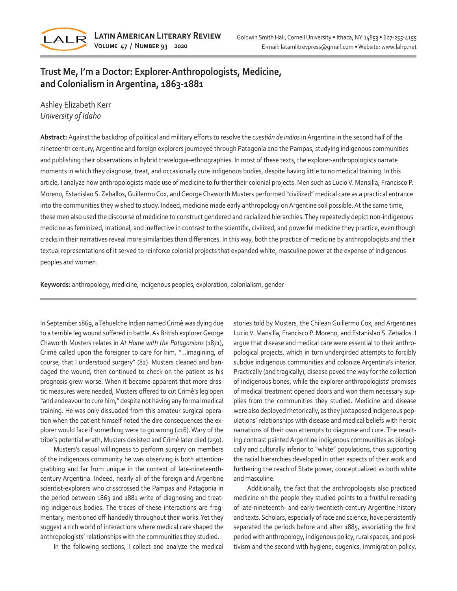

# **Trust Me, I'm a Doctor: Explorer-Anthropologists, Medicine, and Colonialism in Argentina, 1863-1881**

Ashley Elizabeth Kerr *University of Idaho*

**Abstract:** Against the backdrop of political and military efforts to resolve the *cuestión de indios* in Argentina in the second half of the nineteenth century, Argentine and foreign explorers journeyed through Patagonia and the Pampas, studying indigenous communities and publishing their observations in hybrid travelogue-ethnographies. In most of these texts, the explorer-anthropologists narrate moments in which they diagnose, treat, and occasionally cure indigenous bodies, despite having little to no medical training. In this article, I analyze how anthropologists made use of medicine to further their colonial projects. Men such as Lucio V. Mansilla, Francisco P. Moreno, Estanislao S. Zeballos, Guillermo Cox, and George Chaworth Musters performed "civilized" medical care as a practical entrance into the communities they wished to study. Indeed, medicine made early anthropology on Argentine soil possible. At the same time, these men also used the discourse of medicine to construct gendered and racialized hierarchies. They repeatedly depict non-indigenous medicine as feminized, irrational, and ineffective in contrast to the scientific, civilized, and powerful medicine they practice, even though cracks in their narratives reveal more similarities than differences. In this way, both the practice of medicine by anthropologists and their textual representations of it served to reinforce colonial projects that expanded white, masculine power at the expense of indigenous peoples and women.

**Keywords:** anthropology, medicine, indigenous peoples, exploration, colonialism, gender

In September 1869, a Tehuelche Indian named Crimè was dying due to a terrible leg wound suffered in battle. As British explorer George Chaworth Musters relates in *At Home with the Patagonians* (1871), Crimè called upon the foreigner to care for him, "…imagining, of course, that I understood surgery" (82). Musters cleaned and bandaged the wound, then continued to check on the patient as his prognosis grew worse. When it became apparent that more drastic measures were needed, Musters offered to cut Crimè's leg open "and endeavour to cure him," despite not having any formal medical training. He was only dissuaded from this amateur surgical operation when the patient himself noted the dire consequences the explorer would face if something were to go wrong (216). Wary of the tribe's potential wrath, Musters desisted and Crimè later died (250).

Musters's casual willingness to perform surgery on members of the indigenous community he was observing is both attentiongrabbing and far from unique in the context of late-nineteenthcentury Argentina. Indeed, nearly all of the foreign and Argentine scientist-explorers who crisscrossed the Pampas and Patagonia in the period between 1863 and 1881 write of diagnosing and treating indigenous bodies. The traces of these interactions are fragmentary, mentioned off-handedly throughout their works. Yet they suggest a rich world of interactions where medical care shaped the anthropologists' relationships with the communities they studied.

In the following sections, I collect and analyze the medical

stories told by Musters, the Chilean Guillermo Cox, and Argentines Lucio V. Mansilla, Francisco P. Moreno, and Estanislao S. Zeballos. I argue that disease and medical care were essential to their anthropological projects, which in turn undergirded attempts to forcibly subdue indigenous communities and colonize Argentina's interior. Practically (and tragically), disease paved the way for the collection of indigenous bones, while the explorer-anthropologists' promises of medical treatment opened doors and won them necessary supplies from the communities they studied. Medicine and disease were also deployed rhetorically, as they juxtaposed indigenous populations' relationships with disease and medical beliefs with heroic narrations of their own attempts to diagnose and cure. The resulting contrast painted Argentine indigenous communities as biologically and culturally inferior to "white" populations, thus supporting the racial hierarchies developed in other aspects of their work and furthering the reach of State power, conceptualized as both white and masculine.

Additionally, the fact that the anthropologists also practiced medicine on the people they studied points to a fruitful rereading of late-nineteenth- and early-twentieth-century Argentine history and texts. Scholars, especially of race and science, have persistently separated the periods before and after 1885, associating the first period with anthropology, indigenous policy, rural spaces, and positivism and the second with hygiene, eugenics, immigration policy,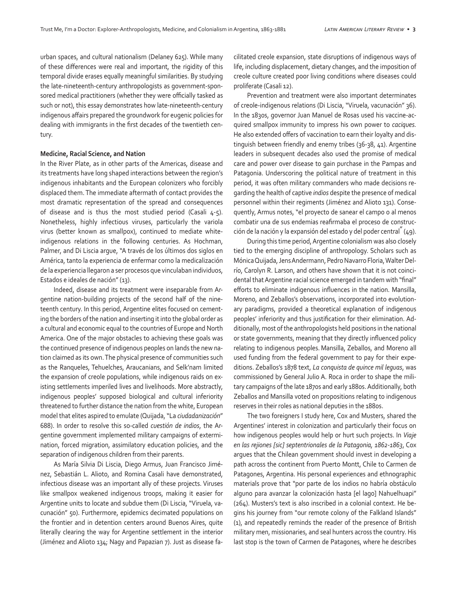urban spaces, and cultural nationalism (Delaney 625). While many of these differences were real and important, the rigidity of this temporal divide erases equally meaningful similarities. By studying the late-nineteenth-century anthropologists as government-sponsored medical practitioners (whether they were officially tasked as such or not), this essay demonstrates how late-nineteenth-century indigenous affairs prepared the groundwork for eugenic policies for dealing with immigrants in the first decades of the twentieth century.

#### **Medicine, Racial Science, and Nation**

In the River Plate, as in other parts of the Americas, disease and its treatments have long shaped interactions between the region's indigenous inhabitants and the European colonizers who forcibly displaced them. The immediate aftermath of contact provides the most dramatic representation of the spread and consequences of disease and is thus the most studied period (Casali  $4-5$ ). Nonetheless, highly infectious viruses, particularly the variola virus (better known as smallpox), continued to mediate whiteindigenous relations in the following centuries. As Hochman, Palmer, and Di Liscia argue, "A través de los últimos dos siglos en América, tanto la experiencia de enfermar como la medicalización de la experiencia llegaron a ser procesos que vinculaban individuos, Estados e ideales de nación" (13).

Indeed, disease and its treatment were inseparable from Argentine nation-building projects of the second half of the nineteenth century. In this period, Argentine elites focused on cementing the borders of the nation and inserting it into the global order as a cultural and economic equal to the countries of Europe and North America. One of the major obstacles to achieving these goals was the continued presence of indigenous peoples on lands the new nation claimed as its own. The physical presence of communities such as the Ranqueles, Tehuelches, Araucanians, and Selk'nam limited the expansion of creole populations, while indigenous raids on existing settlements imperiled lives and livelihoods. More abstractly, indigenous peoples' supposed biological and cultural inferiority threatened to further distance the nation from the white, European model that elites aspired to emulate (Quijada, "La *ciudadanización*" 688). In order to resolve this so-called *cuestión de indios*, the Argentine government implemented military campaigns of extermination, forced migration, assimilatory education policies, and the separation of indigenous children from their parents.

As María Silvia Di Liscia, Diego Armus, Juan Francisco Jiménez, Sebastián L. Alioto, and Romina Casali have demonstrated, infectious disease was an important ally of these projects. Viruses like smallpox weakened indigenous troops, making it easier for Argentine units to locate and subdue them (Di Liscia, "Viruela, vacunación" 50). Furthermore, epidemics decimated populations on the frontier and in detention centers around Buenos Aires, quite literally clearing the way for Argentine settlement in the interior (Jiménez and Alioto 134; Nagy and Papazian 7). Just as disease facilitated creole expansion, state disruptions of indigenous ways of life, including displacement, dietary changes, and the imposition of creole culture created poor living conditions where diseases could proliferate (Casali 12).

Prevention and treatment were also important determinates of creole-indigenous relations (Di Liscia, "Viruela, vacunación" 36). In the 1830s, governor Juan Manuel de Rosas used his vaccine-acquired smallpox immunity to impress his own power to *caciques.*  He also extended offers of vaccination to earn their loyalty and distinguish between friendly and enemy tribes (36-38, 41). Argentine leaders in subsequent decades also used the promise of medical care and power over disease to gain purchase in the Pampas and Patagonia. Underscoring the political nature of treatment in this period, it was often military commanders who made decisions regarding the health of captive *indios* despite the presence of medical personnel within their regiments (Jiménez and Alioto 131). Consequently, Armus notes, "el proyecto de sanear el campo o al menos combatir una de sus endemias reafirmaba el proceso de construcción de la nación y la expansión del estado y del poder central" (49).

During this time period, Argentine colonialism was also closely tied to the emerging discipline of anthropology. Scholars such as Mónica Quijada, Jens Andermann, Pedro Navarro Floria, Walter Delrío, Carolyn R. Larson, and others have shown that it is not coincidental that Argentine racial science emerged in tandem with "final" efforts to eliminate indigenous influences in the nation. Mansilla, Moreno, and Zeballos's observations, incorporated into evolutionary paradigms, provided a theoretical explanation of indigenous peoples' inferiority and thus justification for their elimination. Additionally, most of the anthropologists held positions in the national or state governments, meaning that they directly influenced policy relating to indigenous peoples. Mansilla, Zeballos, and Moreno all used funding from the federal government to pay for their expeditions. Zeballos's 1878 text, *La conquista de quince mil leguas*, was commissioned by General Julio A. Roca in order to shape the military campaigns of the late 1870s and early 1880s. Additionally, both Zeballos and Mansilla voted on propositions relating to indigenous reserves in their roles as national deputies in the 1880s.

The two foreigners I study here, Cox and Musters, shared the Argentines' interest in colonization and particularly their focus on how indigenous peoples would help or hurt such projects. In *Viaje en las rejiones [sic] septentrionales de la Patagonia, 1862-1863*, Cox argues that the Chilean government should invest in developing a path across the continent from Puerto Montt, Chile to Carmen de Patagones, Argentina. His personal experiences and ethnographic materials prove that "por parte de los indios no habría obstáculo alguno para avanzar la colonización hasta [el lago] Nahuelhuapi" (264). Musters's text is also inscribed in a colonial context. He begins his journey from "our remote colony of the Falkland Islands" (1), and repeatedly reminds the reader of the presence of British military men, missionaries, and seal hunters across the country. His last stop is the town of Carmen de Patagones, where he describes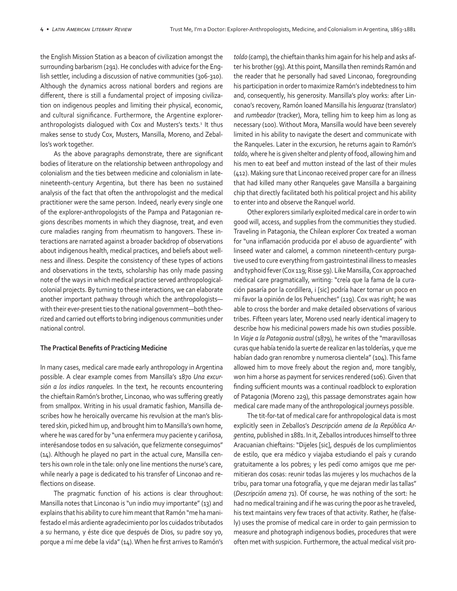the English Mission Station as a beacon of civilization amongst the surrounding barbarism (291). He concludes with advice for the English settler, including a discussion of native communities (306-310). Although the dynamics across national borders and regions are different, there is still a fundamental project of imposing civilization on indigenous peoples and limiting their physical, economic, and cultural significance. Furthermore, the Argentine exploreranthropologists dialogued with Cox and Musters's texts.<sup>1</sup> It thus makes sense to study Cox, Musters, Mansilla, Moreno, and Zeballos's work together.

As the above paragraphs demonstrate, there are significant bodies of literature on the relationship between anthropology and colonialism and the ties between medicine and colonialism in latenineteenth-century Argentina, but there has been no sustained analysis of the fact that often the anthropologist and the medical practitioner were the same person. Indeed, nearly every single one of the explorer-anthropologists of the Pampa and Patagonian regions describes moments in which they diagnose, treat, and even cure maladies ranging from rheumatism to hangovers. These interactions are narrated against a broader backdrop of observations about indigenous health, medical practices, and beliefs about wellness and illness. Despite the consistency of these types of actions and observations in the texts, scholarship has only made passing note of the ways in which medical practice served anthropologicalcolonial projects. By turning to these interactions, we can elaborate another important pathway through which the anthropologists with their ever-present ties to the national government—both theorized and carried out efforts to bring indigenous communities under national control.

#### **The Practical Benefits of Practicing Medicine**

In many cases, medical care made early anthropology in Argentina possible. A clear example comes from Mansilla's 1870 *Una excursión a los indios ranqueles.* In the text, he recounts encountering the chieftain Ramón's brother, Linconao, who was suffering greatly from smallpox. Writing in his usual dramatic fashion, Mansilla describes how he heroically overcame his revulsion at the man's blistered skin, picked him up, and brought him to Mansilla's own home, where he was cared for by "una enfermera muy paciente y cariñosa, interésandose todos en su salvación, que felizmente conseguimos" (14). Although he played no part in the actual cure, Mansilla centers his own role in the tale: only one line mentions the nurse's care, while nearly a page is dedicated to his transfer of Linconao and reflections on disease.

The pragmatic function of his actions is clear throughout: Mansilla notes that Linconao is "un indio muy importante" (13) and explains that his ability to cure him meant that Ramón "me ha manifestado el más ardiente agradecimiento por los cuidados tributados a su hermano, y éste dice que después de Dios, su padre soy yo, porque a mí me debe la vida" (14). When he first arrives to Ramón's

*toldo* (camp), the chieftain thanks him again for his help and asks after his brother (99). At this point, Mansilla then reminds Ramón and the reader that he personally had saved Linconao, foregrounding his participation in order to maximize Ramón's indebtedness to him and, consequently, his generosity. Mansilla's ploy works: after Linconao's recovery, Ramón loaned Mansilla his *lenguaraz* (translator) and *rumbeador* (tracker), Mora, telling him to keep him as long as necessary (100). Without Mora, Mansilla would have been severely limited in his ability to navigate the desert and communicate with the Ranqueles. Later in the excursion, he returns again to Ramón's *toldo*, where he is given shelter and plenty of food, allowing him and his men to eat beef and mutton instead of the last of their mules (412). Making sure that Linconao received proper care for an illness that had killed many other Ranqueles gave Mansilla a bargaining chip that directly facilitated both his political project and his ability to enter into and observe the Ranquel world.

Other explorers similarly exploited medical care in order to win good will, access, and supplies from the communities they studied. Traveling in Patagonia, the Chilean explorer Cox treated a woman for "una inflamación producida por el abuso de aguardiente" with linseed water and calomel, a common nineteenth-century purgative used to cure everything from gastrointestinal illness to measles and typhoid fever (Cox 119; Risse 59). Like Mansilla, Cox approached medical care pragmatically, writing: "creía que la fama de la curación pasaría por la cordillera, i [sic] podría hacer tornar un poco en mi favor la opinión de los Pehuenches" (119). Cox was right; he was able to cross the border and make detailed observations of various tribes. Fifteen years later, Moreno used nearly identical imagery to describe how his medicinal powers made his own studies possible. In *Viaje a la Patagonia austral* (1879), he writes of the "maravillosas curas que había tenido la suerte de realizar en las tolderías, y que me habían dado gran renombre y numerosa clientela" (104). This fame allowed him to move freely about the region and, more tangibly, won him a horse as payment for services rendered (106). Given that finding sufficient mounts was a continual roadblock to exploration of Patagonia (Moreno 229), this passage demonstrates again how medical care made many of the anthropological journeys possible.

The tit-for-tat of medical care for anthropological data is most explicitly seen in Zeballos's *Descripción amena de la República Argentina*, published in 1881. In it, Zeballos introduces himself to three Aracuanian chieftains: "Dijeles [sic], después de los cumplimientos de estilo, que era médico y viajaba estudiando el país y curando gratuitamente a los pobres; y les pedí como amigos que me permitieran dos cosas: reunir todas las mujeres y los muchachos de la tribu, para tomar una fotografía, y que me dejaran medir las tallas" (*Descripción amena* 71). Of course, he was nothing of the sort: he had no medical training and if he was curing the poor as he traveled, his text maintains very few traces of that activity. Rather, he (falsely) uses the promise of medical care in order to gain permission to measure and photograph indigenous bodies, procedures that were often met with suspicion. Furthermore, the actual medical visit pro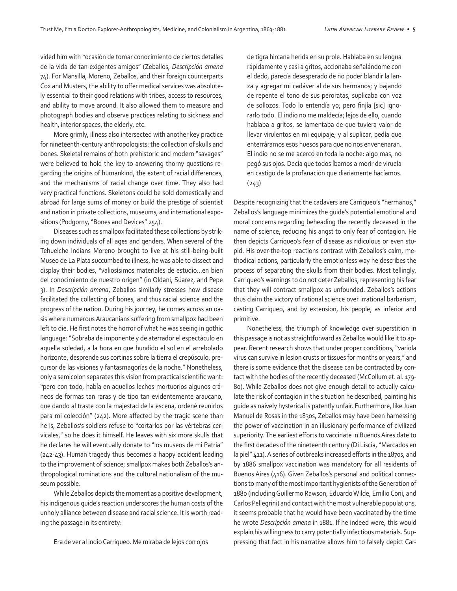vided him with "ocasión de tomar conocimiento de ciertos detalles de la vida de tan exigentes amigos" (Zeballos, *Descripción amena*  74). For Mansilla, Moreno, Zeballos, and their foreign counterparts Cox and Musters, the ability to offer medical services was absolutely essential to their good relations with tribes, access to resources, and ability to move around. It also allowed them to measure and photograph bodies and observe practices relating to sickness and health, interior spaces, the elderly, etc.

More grimly, illness also intersected with another key practice for nineteenth-century anthropologists: the collection of skulls and bones. Skeletal remains of both prehistoric and modern "savages" were believed to hold the key to answering thorny questions regarding the origins of humankind, the extent of racial differences, and the mechanisms of racial change over time. They also had very practical functions. Skeletons could be sold domestically and abroad for large sums of money or build the prestige of scientist and nation in private collections, museums, and international expositions (Podgorny, "Bones and Devices" 254).

Diseases such as smallpox facilitated these collections by striking down individuals of all ages and genders. When several of the Tehuelche Indians Moreno brought to live at his still-being-built Museo de La Plata succumbed to illness, he was able to dissect and display their bodies, "valiosísimos materiales de estudio…en bien del conocimiento de nuestro origen" (in Oldani, Súarez, and Pepe 3). In *Descripción amena*, Zeballos similarly stresses how disease facilitated the collecting of bones, and thus racial science and the progress of the nation. During his journey, he comes across an oasis where numerous Araucanians suffering from smallpox had been left to die. He first notes the horror of what he was seeing in gothic language: "Sobraba de imponente y de aterrador el espectáculo en aquella soledad, a la hora en que hundido el sol en el arrebolado horizonte, desprende sus cortinas sobre la tierra el crepúsculo, precursor de las visiones y fantasmagorías de la noche." Nonetheless, only a semicolon separates this vision from practical scientific want: "pero con todo, había en aquellos lechos mortuorios algunos cráneos de formas tan raras y de tipo tan evidentemente araucano, que dando al traste con la majestad de la escena, ordené reunirlos para mi colección" (242). More affected by the tragic scene than he is, Zeballos's soldiers refuse to "cortarlos por las vértebras cervicales," so he does it himself. He leaves with six more skulls that he declares he will eventually donate to "los museos de mi Patria" (242-43). Human tragedy thus becomes a happy accident leading to the improvement of science; smallpox makes both Zeballos's anthropological ruminations and the cultural nationalism of the museum possible.

While Zeballos depicts the moment as a positive development, his indigenous guide's reaction underscores the human costs of the unholy alliance between disease and racial science. It is worth reading the passage in its entirety:

Era de ver al indio Carriqueo. Me miraba de lejos con ojos

de tigra hircana herida en su prole. Hablaba en su lengua rápidamente y casi a gritos, accionaba señalándome con el dedo, parecía desesperado de no poder blandir la lanza y agregar mi cadáver al de sus hermanos; y bajando de repente el tono de sus peroratas, suplicaba con voz de sollozos. Todo lo entendía yo; pero finjía [sic] ignorarlo todo. El indio no me maldecía; lejos de ello, cuando hablaba a gritos, se lamentaba de que tuviera valor de llevar virulentos en mi equipaje; y al suplicar, pedía que enterráramos esos huesos para que no nos envenenaran. El indio no se me acercó en toda la noche: algo mas, no pegó sus ojos. Decía que todos íbamos a morir de viruela en castigo de la profanación que diariamente hacíamos.  $(243)$ 

Despite recognizing that the cadavers are Carriqueo's "hermanos," Zeballos's language minimizes the guide's potential emotional and moral concerns regarding beheading the recently deceased in the name of science, reducing his angst to only fear of contagion. He then depicts Carriqueo's fear of disease as ridiculous or even stupid. His over-the-top reactions contrast with Zeballos's calm, methodical actions, particularly the emotionless way he describes the process of separating the skulls from their bodies. Most tellingly, Carriqueo's warnings to do not deter Zeballos, representing his fear that they will contract smallpox as unfounded. Zeballos's actions thus claim the victory of rational science over irrational barbarism, casting Carriqueo, and by extension, his people, as inferior and primitive.

Nonetheless, the triumph of knowledge over superstition in this passage is not as straightforward as Zeballos would like it to appear. Recent research shows that under proper conditions, "variola virus can survive in lesion crusts or tissues for months or years," and there is some evidence that the disease can be contracted by contact with the bodies of the recently deceased (McCollum et. al. 179- 80). While Zeballos does not give enough detail to actually calculate the risk of contagion in the situation he described, painting his guide as naively hysterical is patently unfair. Furthermore, like Juan Manuel de Rosas in the 1830s, Zeballos may have been harnessing the power of vaccination in an illusionary performance of civilized superiority. The earliest efforts to vaccinate in Buenos Aires date to the first decades of the nineteenth century (Di Liscia, "Marcados en la piel" 411). A series of outbreaks increased efforts in the 1870s, and by 1886 smallpox vaccination was mandatory for all residents of Buenos Aires (416). Given Zeballos's personal and political connections to many of the most important hygienists of the Generation of 1880 (including Guillermo Rawson, Eduardo Wilde, Emilio Coni, and Carlos Pellegrini) and contact with the most vulnerable populations, it seems probable that he would have been vaccinated by the time he wrote *Descripción amena* in 1881. If he indeed were, this would explain his willingness to carry potentially infectious materials. Suppressing that fact in his narrative allows him to falsely depict Car-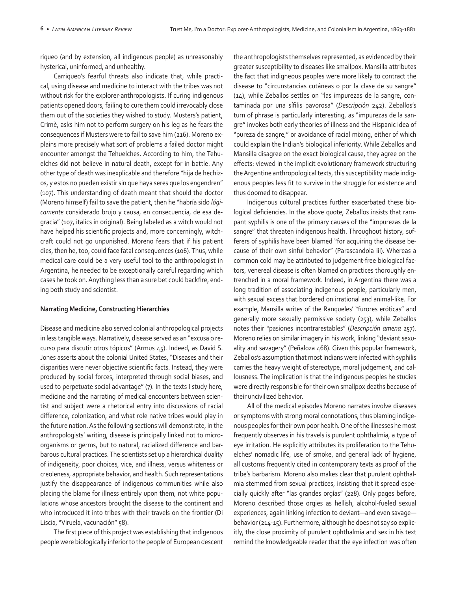riqueo (and by extension, all indigenous people) as unreasonably hysterical, uninformed, and unhealthy.

Carriqueo's fearful threats also indicate that, while practical, using disease and medicine to interact with the tribes was not without risk for the explorer-anthropologists. If curing indigenous patients opened doors, failing to cure them could irrevocably close them out of the societies they wished to study. Musters's patient, Crimè, asks him not to perform surgery on his leg as he fears the consequences if Musters were to fail to save him (216). Moreno explains more precisely what sort of problems a failed doctor might encounter amongst the Tehuelches. According to him, the Tehuelches did not believe in natural death, except for in battle. Any other type of death was inexplicable and therefore "hija de hechizos, y estos no pueden existir sin que haya seres que los engendren" (107). This understanding of death meant that should the doctor (Moreno himself) fail to save the patient, then he "habría sido *lógicamente* considerado brujo y causa, en consecuencia, de esa degracia" (107, italics in original). Being labeled as a witch would not have helped his scientific projects and, more concerningly, witchcraft could not go unpunished. Moreno fears that if his patient dies, then he, too, could face fatal consequences (106). Thus, while medical care could be a very useful tool to the anthropologist in Argentina, he needed to be exceptionally careful regarding which cases he took on. Anything less than a sure bet could backfire, ending both study and scientist.

#### **Narrating Medicine, Constructing Hierarchies**

Disease and medicine also served colonial anthropological projects in less tangible ways. Narratively, disease served as an "excusa o recurso para discutir otros tópicos" (Armus 45). Indeed, as David S. Jones asserts about the colonial United States, "Diseases and their disparities were never objective scientific facts. Instead, they were produced by social forces, interpreted through social biases, and used to perpetuate social advantage" (7). In the texts I study here, medicine and the narrating of medical encounters between scientist and subject were a rhetorical entry into discussions of racial difference, colonization, and what role native tribes would play in the future nation. As the following sections will demonstrate, in the anthropologists' writing, disease is principally linked not to microorganisms or germs, but to natural, racialized difference and barbarous cultural practices. The scientists set up a hierarchical duality of indigeneity, poor choices, vice, and illness, versus whiteness or creoleness, appropriate behavior, and health. Such representations justify the disappearance of indigenous communities while also placing the blame for illness entirely upon them, not white populations whose ancestors brought the disease to the continent and who introduced it into tribes with their travels on the frontier (Di Liscia, "Viruela, vacunación" 58).

The first piece of this project was establishing that indigenous people were biologically inferior to the people of European descent the anthropologists themselves represented, as evidenced by their greater susceptibility to diseases like smallpox. Mansilla attributes the fact that indigneous peoples were more likely to contract the disease to "circunstancias cutáneas o por la clase de su sangre" (14), while Zeballos settles on "las impurezas de la sangre, contaminada por una sífilis pavorosa" (*Descripción* 242). Zeballos's turn of phrase is particularly interesting, as "impurezas de la sangre" invokes both early theories of illness and the Hispanic idea of "pureza de sangre," or avoidance of racial mixing, either of which could explain the Indian's biological inferiority. While Zeballos and Mansilla disagree on the exact biological cause, they agree on the effects: viewed in the implicit evolutionary framework structuring the Argentine anthropological texts, this susceptibility made indigenous peoples less fit to survive in the struggle for existence and thus doomed to disappear.

Indigenous cultural practices further exacerbated these biological deficiencies. In the above quote, Zeballos insists that rampant syphilis is one of the primary causes of the "impurezas de la sangre" that threaten indigenous health. Throughout history, sufferers of syphilis have been blamed "for acquiring the disease because of their own sinful behavior" (Parascandola iii). Whereas a common cold may be attributed to judgement-free biological factors, venereal disease is often blamed on practices thoroughly entrenched in a moral framework. Indeed, in Argentina there was a long tradition of associating indigenous people, particularly men, with sexual excess that bordered on irrational and animal-like. For example, Mansilla writes of the Ranqueles' "furores eróticas" and generally more sexually permissive society (253), while Zeballos notes their "pasiones incontrarestables" (*Descripción amena* 257). Moreno relies on similar imagery in his work, linking "deviant sexuality and savagery" (Peñaloza 468). Given this popular framework, Zeballos's assumption that most Indians were infected with syphilis carries the heavy weight of stereotype, moral judgement, and callousness. The implication is that the indigenous peoples he studies were directly responsible for their own smallpox deaths because of their uncivilized behavior.

All of the medical episodes Moreno narrates involve diseases or symptoms with strong moral connotations, thus blaming indigenous peoples for their own poor health. One of the illnesses he most frequently observes in his travels is purulent ophthalmia, a type of eye irritation. He explicitly attributes its proliferation to the Tehuelches' nomadic life, use of smoke, and general lack of hygiene, all customs frequently cited in contemporary texts as proof of the tribe's barbarism. Moreno also makes clear that purulent ophthalmia stemmed from sexual practices, insisting that it spread especially quickly after "las grandes orgías" (228). Only pages before, Moreno described those orgies as hellish, alcohol-fueled sexual experiences, again linking infection to deviant—and even savage behavior (214-15). Furthermore, although he does not say so explicitly, the close proximity of purulent ophthalmia and sex in his text remind the knowledgeable reader that the eye infection was often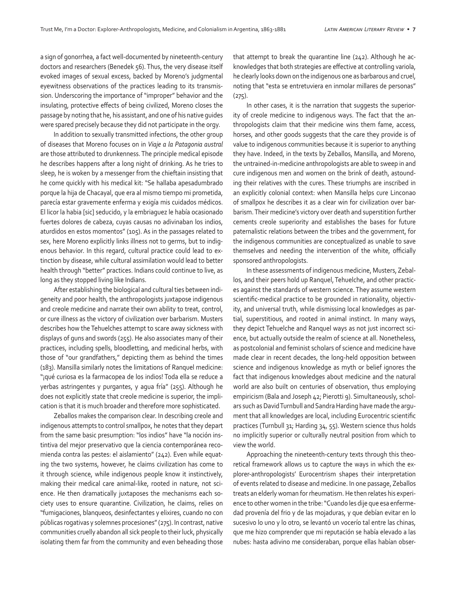a sign of gonorrhea, a fact well-documented by nineteenth-century doctors and researchers (Benedek 56). Thus, the very disease itself evoked images of sexual excess, backed by Moreno's judgmental eyewitness observations of the practices leading to its transmission. Underscoring the importance of "improper" behavior and the insulating, protective effects of being civilized, Moreno closes the passage by noting that he, his assistant, and one of his native guides were spared precisely because they did not participate in the orgy.

In addition to sexually transmitted infections, the other group of diseases that Moreno focuses on in *Viaje a la Patagonia austral* are those attributed to drunkenness. The principle medical episode he describes happens after a long night of drinking. As he tries to sleep, he is woken by a messenger from the chieftain insisting that he come quickly with his medical kit: "Se hallaba apesadumbrado porque la hija de Chacayal, que era al mismo tiempo mi prometida, parecía estar gravemente enferma y exigía mis cuidados médicos. El licor la habia [sic] seducido, y la embriaguez le había ocasionado fuertes dolores de cabeza, cuyas causas no adivinaban los indios, aturdidos en estos momentos" (105). As in the passages related to sex, here Moreno explicitly links illness not to germs, but to indigenous behavior. In this regard, cultural practice could lead to extinction by disease, while cultural assimilation would lead to better health through "better" practices. Indians could continue to live, as long as they stopped living like Indians.

After establishing the biological and cultural ties between indigeneity and poor health, the anthropologists juxtapose indigenous and creole medicine and narrate their own ability to treat, control, or cure illness as the victory of civilization over barbarism. Musters describes how the Tehuelches attempt to scare away sickness with displays of guns and swords (255). He also associates many of their practices, including spells, bloodletting, and medicinal herbs, with those of "our grandfathers," depicting them as behind the times (183). Mansilla similarly notes the limitations of Ranquel medicine: "¡qué curiosa es la farmacopea de los indios! Toda ella se reduce a yerbas astringentes y purgantes, y agua fría" (255). Although he does not explicitly state that creole medicine is superior, the implication is that it is much broader and therefore more sophisticated.

Zeballos makes the comparison clear. In describing creole and indigenous attempts to control smallpox, he notes that they depart from the same basic presumption: "los indios" have "la noción instintiva del mejor preservativo que la ciencia contemporánea recomienda contra las pestes: el aislamiento" (242). Even while equating the two systems, however, he claims civilization has come to it through science, while indigenous people know it instinctively, making their medical care animal-like, rooted in nature, not science. He then dramatically juxtaposes the mechanisms each society uses to ensure quarantine. Civilization, he claims, relies on "fumigaciones, blanqueos, desinfectantes y elixires, cuando no con públicas rogativas y solemnes procesiones" (275). In contrast, native communities cruelly abandon all sick people to their luck, physically isolating them far from the community and even beheading those

that attempt to break the quarantine line (242). Although he acknowledges that both strategies are effective at controlling variola, he clearly looks down on the indigenous one as barbarous and cruel, noting that "esta se entretuviera en inmolar millares de personas"  $(275).$ 

In other cases, it is the narration that suggests the superiority of creole medicine to indigenous ways. The fact that the anthropologists claim that their medicine wins them fame, access, horses, and other goods suggests that the care they provide is of value to indigenous communities because it is superior to anything they have. Indeed, in the texts by Zeballos, Mansilla, and Moreno, the untrained-in-medicine anthropologists are able to sweep in and cure indigenous men and women on the brink of death, astounding their relatives with the cures. These triumphs are inscribed in an explicitly colonial context: when Mansilla helps cure Linconao of smallpox he describes it as a clear win for civilization over barbarism. Their medicine's victory over death and superstition further cements creole superiority and establishes the bases for future paternalistic relations between the tribes and the government, for the indigenous communities are conceptualized as unable to save themselves and needing the intervention of the white, officially sponsored anthropologists.

In these assessments of indigenous medicine, Musters, Zeballos, and their peers hold up Ranquel, Tehuelche, and other practices against the standards of western science. They assume western scientific-medical practice to be grounded in rationality, objectivity, and universal truth, while dismissing local knowledges as partial, superstitious, and rooted in animal instinct. In many ways, they depict Tehuelche and Ranquel ways as not just incorrect science, but actually outside the realm of science at all. Nonetheless, as postcolonial and feminist scholars of science and medicine have made clear in recent decades, the long-held opposition between science and indigenous knowledge as myth or belief ignores the fact that indigenous knowledges about medicine and the natural world are also built on centuries of observation, thus employing empiricism (Bala and Joseph 42; Pierotti 9). Simultaneously, scholars such as David Turnbull and Sandra Harding have made the argument that all knowledges are local, including Eurocentric scientific practices (Turnbull 31; Harding 34, 55). Western science thus holds no implicitly superior or culturally neutral position from which to view the world.

Approaching the nineteenth-century texts through this theoretical framework allows us to capture the ways in which the explorer-anthropologists' Eurocentrism shapes their interpretation of events related to disease and medicine. In one passage, Zeballos treats an elderly woman for rheumatism. He then relates his experience to other women in the tribe: "Cuando les dije que esa enfermedad provenía del frio y de las mojaduras, y que debían evitar en lo sucesivo lo uno y lo otro, se levantó un vocerío tal entre las chinas, que me hizo comprender que mi reputación se había elevado a las nubes: hasta adivino me consideraban, porque ellas habían obser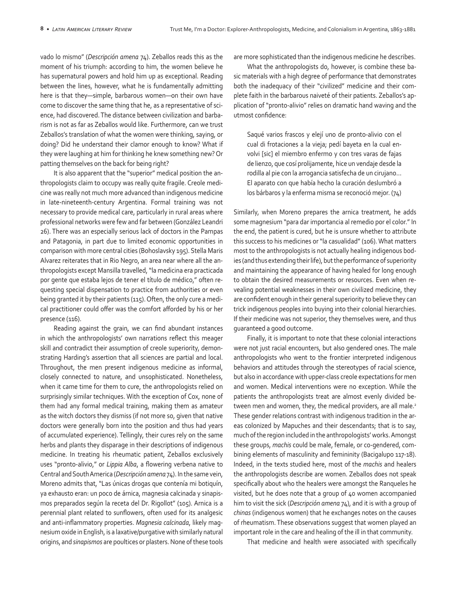vado lo mismo" (*Descripción amena* 74). Zeballos reads this as the moment of his triumph: according to him, the women believe he has supernatural powers and hold him up as exceptional. Reading between the lines, however, what he is fundamentally admitting here is that they—simple, barbarous women—on their own have come to discover the same thing that he, as a representative of science, had discovered. The distance between civilization and barbarism is not as far as Zeballos would like. Furthermore, can we trust Zeballos's translation of what the women were thinking, saying, or doing? Did he understand their clamor enough to know? What if they were laughing at him for thinking he knew something new? Or patting themselves on the back for being right?

It is also apparent that the "superior" medical position the anthropologists claim to occupy was really quite fragile. Creole medicine was really not much more advanced than indigenous medicine in late-nineteenth-century Argentina. Formal training was not necessary to provide medical care, particularly in rural areas where professional networks were few and far between (González Leandri 26). There was an especially serious lack of doctors in the Pampas and Patagonia, in part due to limited economic opportunities in comparison with more central cities (Bohoslavsky 195). Stella Maris Alvarez reiterates that in Rio Negro, an area near where all the anthropologists except Mansilla travelled, "la medicina era practicada por gente que estaba lejos de tener el título de médico," often requesting special dispensation to practice from authorities or even being granted it by their patients (115). Often, the only cure a medical practitioner could offer was the comfort afforded by his or her presence (116).

Reading against the grain, we can find abundant instances in which the anthropologists' own narrations reflect this meager skill and contradict their assumption of creole superiority, demonstrating Harding's assertion that all sciences are partial and local. Throughout, the men present indigenous medicine as informal, closely connected to nature, and unsophisticated. Nonetheless, when it came time for them to cure, the anthropologists relied on surprisingly similar techniques. With the exception of Cox, none of them had any formal medical training, making them as amateur as the witch doctors they dismiss (if not more so, given that native doctors were generally born into the position and thus had years of accumulated experience). Tellingly, their cures rely on the same herbs and plants they disparage in their descriptions of indigenous medicine. In treating his rheumatic patient, Zeballos exclusively uses "pronto-alivio," or *Lippia Alba*, a flowering verbena native to Central and South America (*Descripción amena* 74). In the same vein, Moreno admits that, "Las únicas drogas que contenía mi botiquín, ya exhausto eran: un poco de árnica, magnesia calcinada y sinapismos preparados según la receta del Dr. Rigollot" (105). Arnica is a perennial plant related to sunflowers, often used for its analgesic and anti-inflammatory properties. *Magnesia calcinada*, likely magnesium oxide in English, is a laxative/purgative with similarly natural origins, and *sinapismos* are poultices or plasters. None of these tools are more sophisticated than the indigenous medicine he describes.

What the anthropologists do, however, is combine these basic materials with a high degree of performance that demonstrates both the inadequacy of their "civilized" medicine and their complete faith in the barbarous naiveté of their patients. Zeballos's application of "pronto-alivio" relies on dramatic hand waving and the utmost confidence:

Saqué varios frascos y elejí uno de pronto-alivio con el cual di frotaciones a la vieja; pedí bayeta en la cual envolvi [sic] el miembro enfermo y con tres varas de fajas de lienzo, que cosí prolijamente, hice un vendaje desde la rodilla al pie con la arrogancia satisfecha de un cirujano… El aparato con que había hecho la curación deslumbró a los bárbaros y la enferma misma se reconoció mejor. (74)

Similarly, when Moreno prepares the arnica treatment, he adds some magnesium "para dar importancia al remedio por el color." In the end, the patient is cured, but he is unsure whether to attribute this success to his medicines or "la casualidad" (106). What matters most to the anthropologists is not actually healing indigenous bodies (and thus extending their life), but the performance of superiority and maintaining the appearance of having healed for long enough to obtain the desired measurements or resources. Even when revealing potential weaknesses in their own civilized medicine, they are confident enough in their general superiority to believe they can trick indigenous peoples into buying into their colonial hierarchies. If their medicine was not superior, they themselves were, and thus guaranteed a good outcome.

Finally, it is important to note that these colonial interactions were not just racial encounters, but also gendered ones. The male anthropologists who went to the frontier interpreted indigenous behaviors and attitudes through the stereotypes of racial science, but also in accordance with upper-class creole expectations for men and women. Medical interventions were no exception. While the patients the anthropologists treat are almost evenly divided between men and women, they, the medical providers, are all male.<sup>2</sup> These gender relations contrast with indigenous tradition in the areas colonized by Mapuches and their descendants; that is to say, much of the region included in the anthropologists' works. Amongst these groups, *machis* could be male, female, or co-gendered, combining elements of masculinity and femininity (Bacigalupo 117-18). Indeed, in the texts studied here, most of the *machis* and healers the anthropologists describe are women. Zeballos does not speak specifically about who the healers were amongst the Ranqueles he visited, but he does note that a group of 40 women accompanied him to visit the sick (*Descripción amena* 74), and it is with a group of *chinas* (indigenous women) that he exchanges notes on the causes of rheumatism. These observations suggest that women played an important role in the care and healing of the ill in that community.

That medicine and health were associated with specifically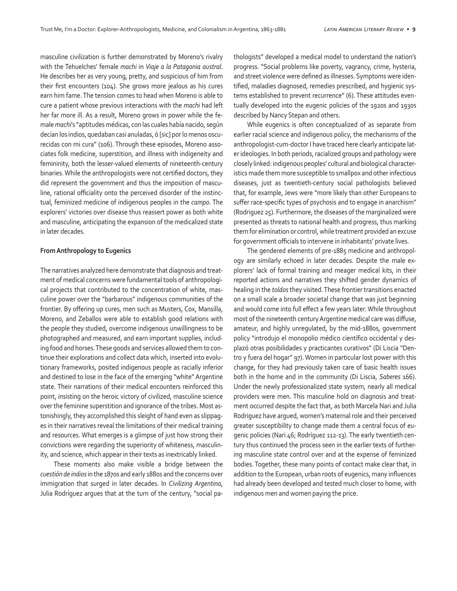masculine civilization is further demonstrated by Moreno's rivalry with the Tehuelches' female *machi* in *Viaje a la Patagonia austral*. He describes her as very young, pretty, and suspicious of him from their first encounters (104). She grows more jealous as his cures earn him fame. The tension comes to head when Moreno is able to cure a patient whose previous interactions with the *machi* had left her far more ill. As a result, Moreno grows in power while the female *machi*'s "aptitudes médicas, con las cuales había nacido, según decían los indios, quedaban casi anuladas, ó [sic] por lo menos oscurecidas con mi cura" (106). Through these episodes, Moreno associates folk medicine, superstition, and illness with indigeneity and femininity, both the lesser-valued elements of nineteenth-century binaries. While the anthropologists were not certified doctors, they did represent the government and thus the imposition of masculine, rational officiality onto the perceived disorder of the instinctual, feminized medicine of indigenous peoples in the *campo*. The explorers' victories over disease thus reassert power as both white and masculine, anticipating the expansion of the medicalized state in later decades.

# **From Anthropology to Eugenics**

The narratives analyzed here demonstrate that diagnosis and treatment of medical concerns were fundamental tools of anthropological projects that contributed to the concentration of white, masculine power over the "barbarous" indigenous communities of the frontier. By offering up cures, men such as Musters, Cox, Mansilla, Moreno, and Zeballos were able to establish good relations with the people they studied, overcome indigenous unwillingness to be photographed and measured, and earn important supplies, including food and horses. These goods and services allowed them to continue their explorations and collect data which, inserted into evolutionary frameworks, posited indigenous people as racially inferior and destined to lose in the face of the emerging "white" Argentine state. Their narrations of their medical encounters reinforced this point, insisting on the heroic victory of civilized, masculine science over the feminine superstition and ignorance of the tribes. Most astonishingly, they accomplished this sleight of hand even as slippages in their narratives reveal the limitations of their medical training and resources. What emerges is a glimpse of just how strong their convictions were regarding the superiority of whiteness, masculinity, and science, which appear in their texts as inextricably linked.

These moments also make visible a bridge between the *cuestión de indios* in the 1870s and early 1880s and the concerns over immigration that surged in later decades. In *Civilizing Argentina*, Julia Rodríguez argues that at the turn of the century, "social pathologists" developed a medical model to understand the nation's progress. "Social problems like poverty, vagrancy, crime, hysteria, and street violence were defined as illnesses. Symptoms were identified, maladies diagnosed, remedies prescribed, and hygienic systems established to prevent recurrence" (6). These attitudes eventually developed into the eugenic policies of the 1920s and 1930s described by Nancy Stepan and others.

While eugenics is often conceptualized of as separate from earlier racial science and indigenous policy, the mechanisms of the anthropologist-cum-doctor I have traced here clearly anticipate later ideologies. In both periods, racialized groups and pathology were closely linked: indigenous peoples' cultural and biological characteristics made them more susceptible to smallpox and other infectious diseases, just as twentieth-century social pathologists believed that, for example, Jews were "more likely than other Europeans to suffer race-specific types of psychosis and to engage in anarchism" (Rodriguez 25). Furthermore, the diseases of the marginalized were presented as threats to national health and progress, thus marking them for elimination or control, while treatment provided an excuse for government officials to intervene in inhabitants' private lives.

The gendered elements of pre-1885 medicine and anthropology are similarly echoed in later decades. Despite the male explorers' lack of formal training and meager medical kits, in their reported actions and narratives they shifted gender dynamics of healing in the *toldos* they visited. These frontier transitions enacted on a small scale a broader societal change that was just beginning and would come into full effect a few years later. While throughout most of the nineteenth century Argentine medical care was diffuse, amateur, and highly unregulated, by the mid-1880s, government policy "introdujo el monopolio médico científico occidental y desplazó otras posibilidades y practicantes curativos" (Di Liscia "Dentro y fuera del hogar" 97). Women in particular lost power with this change, for they had previously taken care of basic health issues both in the home and in the community (Di Liscia, *Saberes* 166). Under the newly professionalized state system, nearly all medical providers were men. This masculine hold on diagnosis and treatment occurred despite the fact that, as both Marcela Nari and Julia Rodriguez have argued, women's maternal role and their perceived greater susceptibility to change made them a central focus of eugenic policies (Nari 46; Rodríguez 112-13). The early twentieth century thus continued the process seen in the earlier texts of furthering masculine state control over and at the expense of feminized bodies. Together, these many points of contact make clear that, in addition to the European, urban roots of eugenics, many influences had already been developed and tested much closer to home, with indigenous men and women paying the price.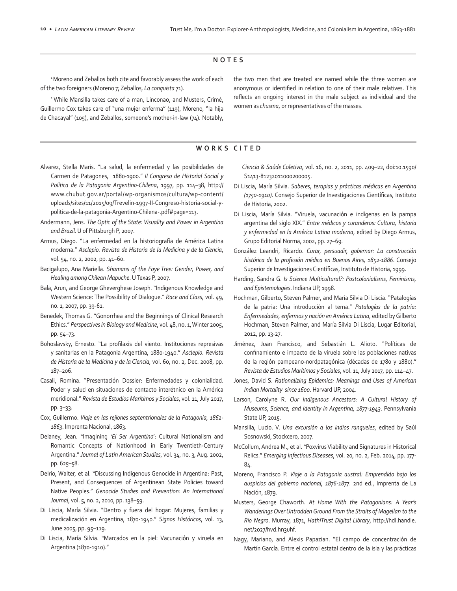# **NOTES**

<sup>1</sup> Moreno and Zeballos both cite and favorably assess the work of each of the two foreigners (Moreno 7; Zeballos, *La conquista* 71).

2 While Mansilla takes care of a man, Linconao, and Musters, Crimè, Guillermo Cox takes care of "una mujer enferma" (119), Moreno, "la hija de Chacayal" (105), and Zeballos, someone's mother-in-law (74). Notably,

the two men that are treated are named while the three women are anonymous or identified in relation to one of their male relatives. This reflects an ongoing interest in the male subject as individual and the women as *chusma*, or representatives of the masses.

## **WORKS CITED**

- Alvarez, Stella Maris. "La salud, la enfermedad y las posibilidades de Carmen de Patagones, 1880-1900." *II Congreso de Historial Social y Política de la Patagonia Argentino-Chilena*, 1997, pp. 114–38, http:// www.chubut.gov.ar/portal/wp-organismos/cultura/wp-content/ uploads/sites/11/2015/09/Trevelin-1997-II-Congreso-historia-social-ypolitica-de-la-patagonia-Argentino-Chilena-.pdf#page=113.
- Andermann, Jens. *The Optic of the State: Visuality and Power in Argentina and Brazil*. U of Pittsburgh P, 2007.
- Armus, Diego. "La enfermedad en la historiografía de América Latina moderna." *Asclepio. Revista de Historia de la Medicina y de la Ciencia*, vol. 54, no. 2, 2002, pp. 41–60.
- Bacigalupo, Ana Mariella. *Shamans of the Foye Tree: Gender, Power, and Healing among Chilean Mapuche*. U Texas P, 2007.
- Bala, Arun, and George Gheverghese Joseph. "Indigenous Knowledge and Western Science: The Possibility of Dialogue." *Race and Class*, vol. 49, no. 1, 2007, pp. 39-61.
- Benedek, Thomas G. "Gonorrhea and the Beginnings of Clinical Research Ethics." *Perspectives in Biology and Medicine*, vol. 48, no. 1, Winter 2005, pp. 54–73.
- Bohoslavsky, Ernesto. "La profilaxis del viento. Instituciones represivas y sanitarias en la Patagonia Argentina, 1880-1940." *Asclepio. Revista de Historia de la Medicina y de la Ciencia*, vol. 60, no. 2, Dec. 2008, pp. 187–206.
- Casali, Romina. "Presentación Dossier: Enfermedades y colonialidad. Poder y salud en situaciones de contacto interétnico en la América meridional." *Revista de Estudios Marítimos y Sociales*, vol. 11, July 2017, pp. 3–33.
- Cox, Guillermo. *Viaje en las rejiones septentrionales de la Patagonia, 1862- 1863*. Imprenta Nacional, 1863.
- Delaney, Jean. "Imagining '*El Ser Argentino*': Cultural Nationalism and Romantic Concepts of Nationhood in Early Twentieth-Century Argentina." *Journal of Latin American Studies*, vol. 34, no. 3, Aug. 2002, pp. 625–58.
- Delrio, Walter, et al. "Discussing Indigenous Genocide in Argentina: Past, Present, and Consequences of Argentinean State Policies toward Native Peoples." *Genocide Studies and Prevention: An International Journal*, vol. 5, no. 2, 2010, pp. 138–59.
- Di Liscia, María Silvia. "Dentro y fuera del hogar: Mujeres, familias y medicalización en Argentina, 1870-1940." *Signos Históricos*, vol. 13, June 2005, pp. 95–119.
- Di Liscia, María Silvia. "Marcados en la piel: Vacunación y viruela en Argentina (1870-1910)."

 *Ciencia & Saúde Coletiva*, vol. 16, no. 2, 2011, pp. 409–22, doi:10.1590/ S1413-81232011000200005.

- Di Liscia, María Silvia. *Saberes, terapias y prácticas médicas en Argentina (1750-1910)*. Consejo Superior de Investigaciones Científicas, Instituto de Historia, 2002.
- Di Liscia, María Silvia. "Viruela, vacunación e indígenas en la pampa argentina del siglo XIX." *Entre médicos y curanderos: Cultura, historia y enfermedad en la América Latina moderna*, edited by Diego Armus, Grupo Editorial Norma, 2002, pp. 27–69.
- González Leandri, Ricardo. *Curar, persuadir, gobernar: La construcción histórica de la profesión médica en Buenos Aires, 1852-1886*. Consejo Superior de Investigaciones Científicas, Instituto de Historia, 1999.
- Harding, Sandra G. *Is Science Multicultural?: Postcolonialisms, Feminisms, and Epistemologies*. Indiana UP, 1998.
- Hochman, Gilberto, Steven Palmer, and María Silvia Di Liscia. "Patalogías de la patria: Una introducción al tema." *Patalogías de la patria: Enfermedades, enfermos y nación en América Latina*, edited by Gilberto Hochman, Steven Palmer, and María Silvia Di Liscia, Lugar Editorial, 2012, pp. 13-27.
- Jiménez, Juan Francisco, and Sebastián L. Alioto. "Políticas de confinamiento e impacto de la viruela sobre las poblaciones nativas de la región pampeano-nordpatagónica (décadas de 1780 y 1880)." *Revista de Estudios Marítimos y Sociales*, vol. 11, July 2017, pp. 114–47.
- Jones, David S. *Rationalizing Epidemics: Meanings and Uses of American Indian Mortality since 1600*. Harvard UP, 2004.
- Larson, Carolyne R. *Our Indigenous Ancestors: A Cultural History of Museums, Science, and Identity in Argentina, 1877-1943*. Pennsylvania State UP, 2015.
- Mansilla, Lucio. V. *Una excursión a los indios ranqueles*, edited by Saúl Sosnowski, Stockcero, 2007.
- McCollum, Andrea M., et al. "Poxvirus Viability and Signatures in Historical Relics." *Emerging Infectious Diseases*, vol. 20, no. 2, Feb. 2014, pp. 177- 84.
- Moreno, Francisco P. *Viaje a la Patagonia austral: Emprendido bajo los auspicios del gobierno nacional, 1876-1877*. 2nd ed., Imprenta de La Nación, 1879.
- Musters, George Chaworth. *At Home With the Patagonians: A Year's Wanderings Over Untrodden Ground From the Straits of Magellan to the Rio Negro*. Murray, 1871, *HathiTrust Digital Library*, http://hdl.handle. net/2027/hvd.hn3uhf.
- Nagy, Mariano, and Alexis Papazian. "El campo de concentración de Martín García. Entre el control estatal dentro de la isla y las prácticas